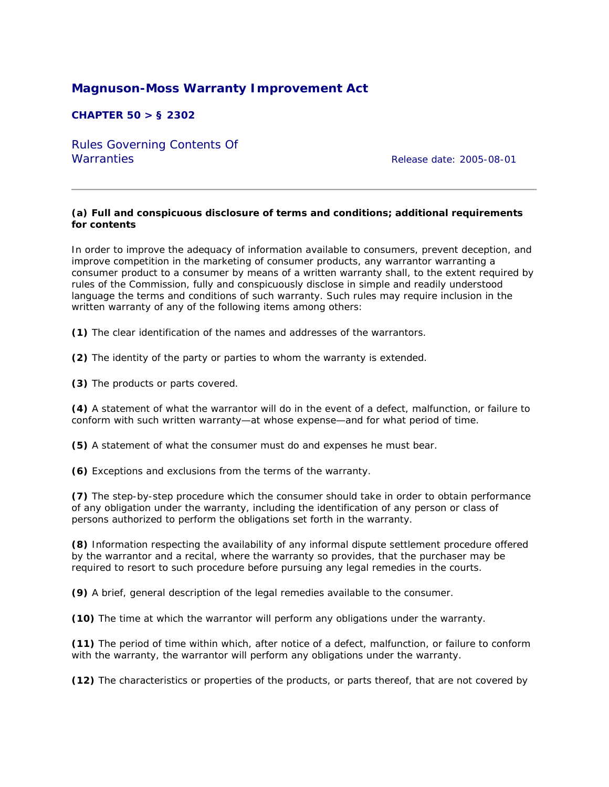# **Magnuson-Moss Warranty Improvement Act**

# **CHAPTER 50 > § 2302**

Rules Governing Contents Of Warranties *Release date: 2005-08-01*

#### **(a) Full and conspicuous disclosure of terms and conditions; additional requirements for contents**

In order to improve the adequacy of information available to consumers, prevent deception, and improve competition in the marketing of consumer products, any warrantor warranting a consumer product to a consumer by means of a written warranty shall, to the extent required by rules of the Commission, fully and conspicuously disclose in simple and readily understood language the terms and conditions of such warranty. Such rules may require inclusion in the written warranty of any of the following items among others:

**(1)** The clear identification of the names and addresses of the warrantors.

**(2)** The identity of the party or parties to whom the warranty is extended.

**(3)** The products or parts covered.

**(4)** A statement of what the warrantor will do in the event of a defect, malfunction, or failure to conform with such written warranty—at whose expense—and for what period of time.

**(5)** A statement of what the consumer must do and expenses he must bear.

**(6)** Exceptions and exclusions from the terms of the warranty.

**(7)** The step-by-step procedure which the consumer should take in order to obtain performance of any obligation under the warranty, including the identification of any person or class of persons authorized to perform the obligations set forth in the warranty.

**(8)** Information respecting the availability of any informal dispute settlement procedure offered by the warrantor and a recital, where the warranty so provides, that the purchaser may be required to resort to such procedure before pursuing any legal remedies in the courts.

**(9)** A brief, general description of the legal remedies available to the consumer.

**(10)** The time at which the warrantor will perform any obligations under the warranty.

**(11)** The period of time within which, after notice of a defect, malfunction, or failure to conform with the warranty, the warrantor will perform any obligations under the warranty.

**(12)** The characteristics or properties of the products, or parts thereof, that are not covered by